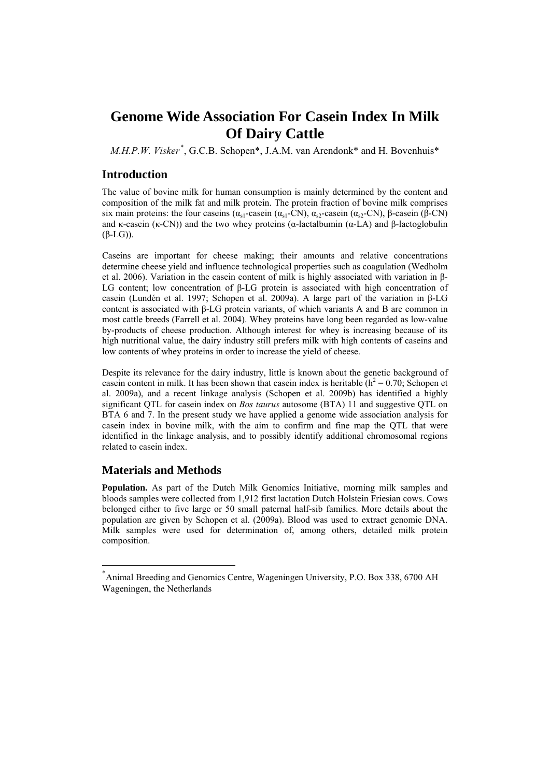# **Genome Wide Association For Casein Index In Milk Of Dairy Cattle**

*M.H.P.W. Visker[\\*](#page-0-0)* , G.C.B. Schopen\*, J.A.M. van Arendonk\* and H. Bovenhuis\*

#### **Introduction**

The value of bovine milk for human consumption is mainly determined by the content and composition of the milk fat and milk protein. The protein fraction of bovine milk comprises six main proteins: the four caseins ( $\alpha_{s1}$ -casein ( $\alpha_{s1}$ -CN),  $\alpha_{s2}$ -casein ( $\alpha_{s2}$ -CN), β-casein (β-CN) and κ-casein (κ-CN)) and the two whey proteins (α-lactalbumin (α-LA) and β-lactoglobulin (β-LG)).

Caseins are important for cheese making; their amounts and relative concentrations determine cheese yield and influence technological properties such as coagulation (Wedholm et al. 2006). Variation in the casein content of milk is highly associated with variation in β-LG content; low concentration of β-LG protein is associated with high concentration of casein (Lundén et al. 1997; Schopen et al. 2009a). A large part of the variation in β-LG content is associated with β-LG protein variants, of which variants A and B are common in most cattle breeds (Farrell et al. 2004). Whey proteins have long been regarded as low-value by-products of cheese production. Although interest for whey is increasing because of its high nutritional value, the dairy industry still prefers milk with high contents of caseins and low contents of whey proteins in order to increase the yield of cheese.

Despite its relevance for the dairy industry, little is known about the genetic background of casein content in milk. It has been shown that casein index is heritable  $(h^2 = 0.70)$ ; Schopen et al. 2009a), and a recent linkage analysis (Schopen et al. 2009b) has identified a highly significant QTL for casein index on *Bos taurus* autosome (BTA) 11 and suggestive QTL on BTA 6 and 7. In the present study we have applied a genome wide association analysis for casein index in bovine milk, with the aim to confirm and fine map the QTL that were identified in the linkage analysis, and to possibly identify additional chromosomal regions related to casein index.

## **Materials and Methods**

1

**Population.** As part of the Dutch Milk Genomics Initiative, morning milk samples and bloods samples were collected from 1,912 first lactation Dutch Holstein Friesian cows. Cows belonged either to five large or 50 small paternal half-sib families. More details about the population are given by Schopen et al. (2009a). Blood was used to extract genomic DNA. Milk samples were used for determination of, among others, detailed milk protein composition.

<span id="page-0-0"></span><sup>\*</sup> Animal Breeding and Genomics Centre, Wageningen University, P.O. Box 338, 6700 AH Wageningen, the Netherlands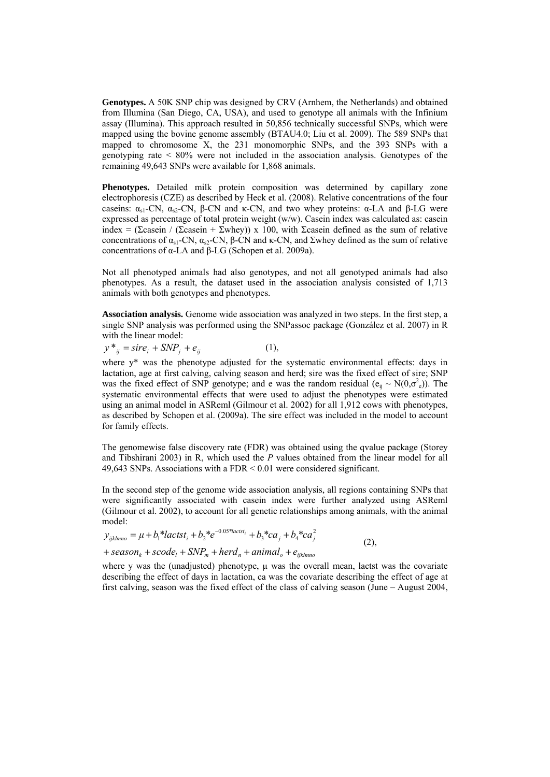**Genotypes.** A 50K SNP chip was designed by CRV (Arnhem, the Netherlands) and obtained from Illumina (San Diego, CA, USA), and used to genotype all animals with the Infinium assay (Illumina). This approach resulted in 50,856 technically successful SNPs, which were mapped using the bovine genome assembly (BTAU4.0; Liu et al. 2009). The 589 SNPs that mapped to chromosome X, the 231 monomorphic SNPs, and the 393 SNPs with a genotyping rate < 80% were not included in the association analysis. Genotypes of the remaining 49,643 SNPs were available for 1,868 animals.

**Phenotypes.** Detailed milk protein composition was determined by capillary zone electrophoresis (CZE) as described by Heck et al. (2008). Relative concentrations of the four caseins:  $\alpha_{s1}$ -CN,  $\alpha_{s2}$ -CN, β-CN and κ-CN, and two whey proteins: α-LA and β-LG were expressed as percentage of total protein weight (w/w). Casein index was calculated as: casein index = (Σcasein / (Σcasein + Σwhey)) x 100, with Σcasein defined as the sum of relative concentrations of  $α_{s1}$ -CN,  $α_{s2}$ -CN, β-CN and κ-CN, and Σwhey defined as the sum of relative concentrations of α-LA and β-LG (Schopen et al. 2009a).

Not all phenotyped animals had also genotypes, and not all genotyped animals had also phenotypes. As a result, the dataset used in the association analysis consisted of 1,713 animals with both genotypes and phenotypes.

**Association analysis.** Genome wide association was analyzed in two steps. In the first step, a single SNP analysis was performed using the SNPassoc package (González et al. 2007) in R with the linear model:

$$
y^*_{ij} = sire_i + SNP_j + e_{ij}
$$
 (1),

where  $y^*$  was the phenotype adjusted for the systematic environmental effects: days in lactation, age at first calving, calving season and herd; sire was the fixed effect of sire; SNP was the fixed effect of SNP genotype; and e was the random residual  $(e_{ij} \sim N(0, \sigma_e^2))$ . The systematic environmental effects that were used to adjust the phenotypes were estimated using an animal model in ASReml (Gilmour et al. 2002) for all 1,912 cows with phenotypes, as described by Schopen et al. (2009a). The sire effect was included in the model to account for family effects.

The genomewise false discovery rate (FDR) was obtained using the qvalue package (Storey and Tibshirani 2003) in R, which used the *P* values obtained from the linear model for all 49,643 SNPs. Associations with a FDR < 0.01 were considered significant.

In the second step of the genome wide association analysis, all regions containing SNPs that were significantly associated with casein index were further analyzed using ASReml (Gilmour et al. 2002), to account for all genetic relationships among animals, with the animal model:

$$
y_{ijklmno} = \mu + b_1 *lactst_i + b_2 *e^{-0.05 *lactst_i} + b_3 *ca_j + b_4 *ca_j^2
$$
\n(2),

$$
+ season_k+score_l+SNP_m+herd_n+animal_o+e_{ijklmno}
$$

where y was the (unadjusted) phenotype,  $\mu$  was the overall mean, lactst was the covariate describing the effect of days in lactation, ca was the covariate describing the effect of age at first calving, season was the fixed effect of the class of calving season (June – August 2004,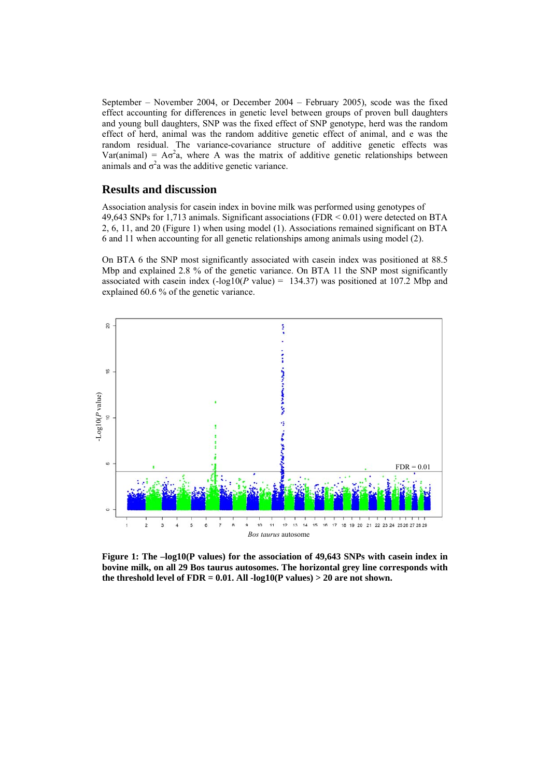September – November 2004, or December 2004 – February 2005), scode was the fixed effect accounting for differences in genetic level between groups of proven bull daughters and young bull daughters, SNP was the fixed effect of SNP genotype, herd was the random effect of herd, animal was the random additive genetic effect of animal, and e was the random residual. The variance-covariance structure of additive genetic effects was Var(animal) =  $A\sigma^2 a$ , where A was the matrix of additive genetic relationships between animals and  $\sigma^2$  was the additive genetic variance.

## **Results and discussion**

Association analysis for casein index in bovine milk was performed using genotypes of 49,643 SNPs for 1,713 animals. Significant associations (FDR < 0.01) were detected on BTA 2, 6, 11, and 20 (Figure 1) when using model (1). Associations remained significant on BTA 6 and 11 when accounting for all genetic relationships among animals using model (2).

On BTA 6 the SNP most significantly associated with casein index was positioned at 88.5 Mbp and explained 2.8 % of the genetic variance. On BTA 11 the SNP most significantly associated with casein index  $(-\log 10(P \text{ value}) = 134.37)$  was positioned at 107.2 Mbp and explained 60.6 % of the genetic variance.



**Figure 1: The –log10(P values) for the association of 49,643 SNPs with casein index in bovine milk, on all 29 Bos taurus autosomes. The horizontal grey line corresponds with**  the threshold level of  $FDR = 0.01$ . All  $-log10(P \text{ values}) > 20$  are not shown.